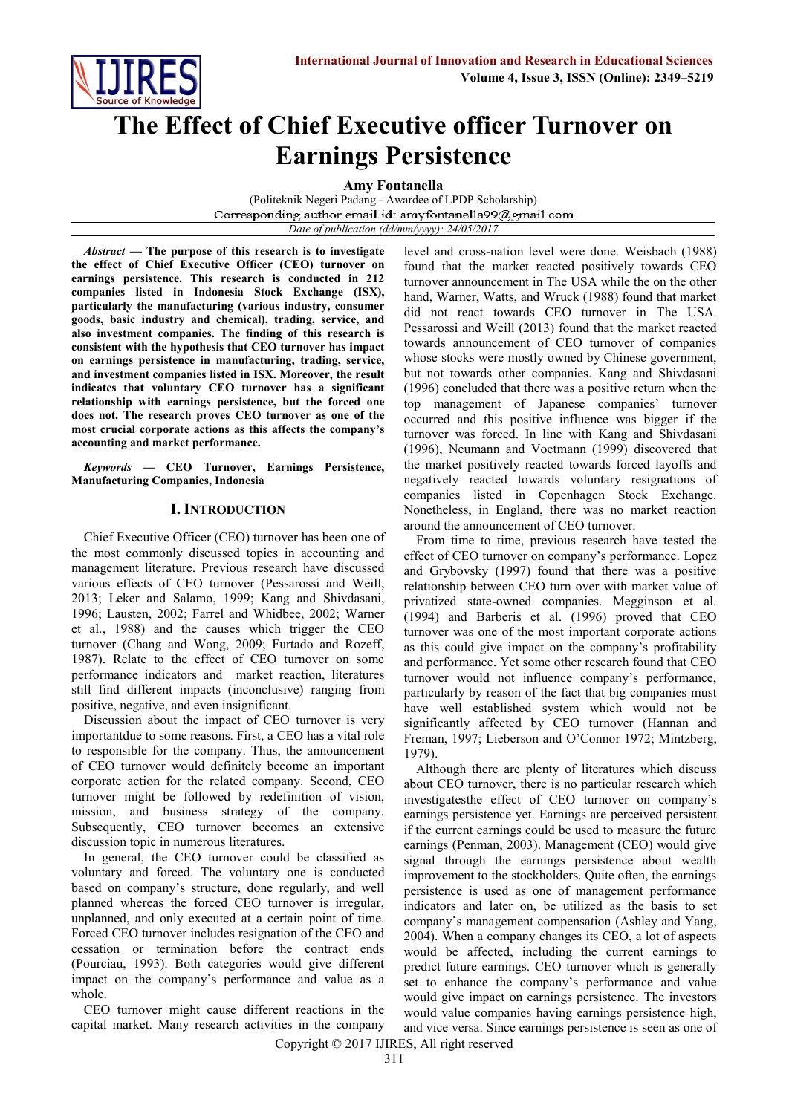

# **The Effect of Chief Executive officer Turnover on Earnings Persistence**

**Amy Fontanella** 

(Politeknik Negeri Padang - Awardee of LPDP Scholarship) Corresponding author email id: amyfontanella99@gmail.com *Date of publication (dd/mm/yyyy): 24/05/2017*

*Abstract* **— The purpose of this research is to investigate the effect of Chief Executive Officer (CEO) turnover on earnings persistence. This research is conducted in 212 companies listed in Indonesia Stock Exchange (ISX), particularly the manufacturing (various industry, consumer goods, basic industry and chemical), trading, service, and also investment companies. The finding of this research is consistent with the hypothesis that CEO turnover has impact on earnings persistence in manufacturing, trading, service, and investment companies listed in ISX. Moreover, the result indicates that voluntary CEO turnover has a significant relationship with earnings persistence, but the forced one does not. The research proves CEO turnover as one of the most crucial corporate actions as this affects the company's accounting and market performance.**

*Keywords* **— CEO Turnover, Earnings Persistence, Manufacturing Companies, Indonesia**

## **I. INTRODUCTION**

Chief Executive Officer (CEO) turnover has been one of the most commonly discussed topics in accounting and management literature. Previous research have discussed various effects of CEO turnover (Pessarossi and Weill, 2013; Leker and Salamo, 1999; Kang and Shivdasani, 1996; Lausten, 2002; Farrel and Whidbee, 2002; Warner et al., 1988) and the causes which trigger the CEO turnover (Chang and Wong, 2009; Furtado and Rozeff, 1987). Relate to the effect of CEO turnover on some performance indicators and market reaction, literatures still find different impacts (inconclusive) ranging from positive, negative, and even insignificant.

Discussion about the impact of CEO turnover is very importantdue to some reasons. First, a CEO has a vital role to responsible for the company. Thus, the announcement of CEO turnover would definitely become an important corporate action for the related company. Second, CEO turnover might be followed by redefinition of vision, mission, and business strategy of the company. Subsequently, CEO turnover becomes an extensive discussion topic in numerous literatures.

In general, the CEO turnover could be classified as voluntary and forced. The voluntary one is conducted based on company's structure, done regularly, and well planned whereas the forced CEO turnover is irregular, unplanned, and only executed at a certain point of time. Forced CEO turnover includes resignation of the CEO and cessation or termination before the contract ends (Pourciau, 1993). Both categories would give different impact on the company's performance and value as a whole.

CEO turnover might cause different reactions in the capital market. Many research activities in the company level and cross-nation level were done. Weisbach (1988) found that the market reacted positively towards CEO turnover announcement in The USA while the on the other hand, Warner, Watts, and Wruck (1988) found that market did not react towards CEO turnover in The USA. Pessarossi and Weill (2013) found that the market reacted towards announcement of CEO turnover of companies whose stocks were mostly owned by Chinese government, but not towards other companies. Kang and Shivdasani (1996) concluded that there was a positive return when the top management of Japanese companies' turnover occurred and this positive influence was bigger if the turnover was forced. In line with Kang and Shivdasani (1996), Neumann and Voetmann (1999) discovered that the market positively reacted towards forced layoffs and negatively reacted towards voluntary resignations of companies listed in Copenhagen Stock Exchange. Nonetheless, in England, there was no market reaction around the announcement of CEO turnover.

From time to time, previous research have tested the effect of CEO turnover on company's performance. Lopez and Grybovsky (1997) found that there was a positive relationship between CEO turn over with market value of privatized state-owned companies. Megginson et al. (1994) and Barberis et al. (1996) proved that CEO turnover was one of the most important corporate actions as this could give impact on the company's profitability and performance. Yet some other research found that CEO turnover would not influence company's performance, particularly by reason of the fact that big companies must have well established system which would not be significantly affected by CEO turnover (Hannan and Freman, 1997; Lieberson and O'Connor 1972; Mintzberg, 1979).

Although there are plenty of literatures which discuss about CEO turnover, there is no particular research which investigatesthe effect of CEO turnover on company's earnings persistence yet. Earnings are perceived persistent if the current earnings could be used to measure the future earnings (Penman, 2003). Management (CEO) would give signal through the earnings persistence about wealth improvement to the stockholders. Quite often, the earnings persistence is used as one of management performance indicators and later on, be utilized as the basis to set company's management compensation (Ashley and Yang, 2004). When a company changes its CEO, a lot of aspects would be affected, including the current earnings to predict future earnings. CEO turnover which is generally set to enhance the company's performance and value would give impact on earnings persistence. The investors would value companies having earnings persistence high, and vice versa. Since earnings persistence is seen as one of

Copyright © 2017 IJIRES, All right reserved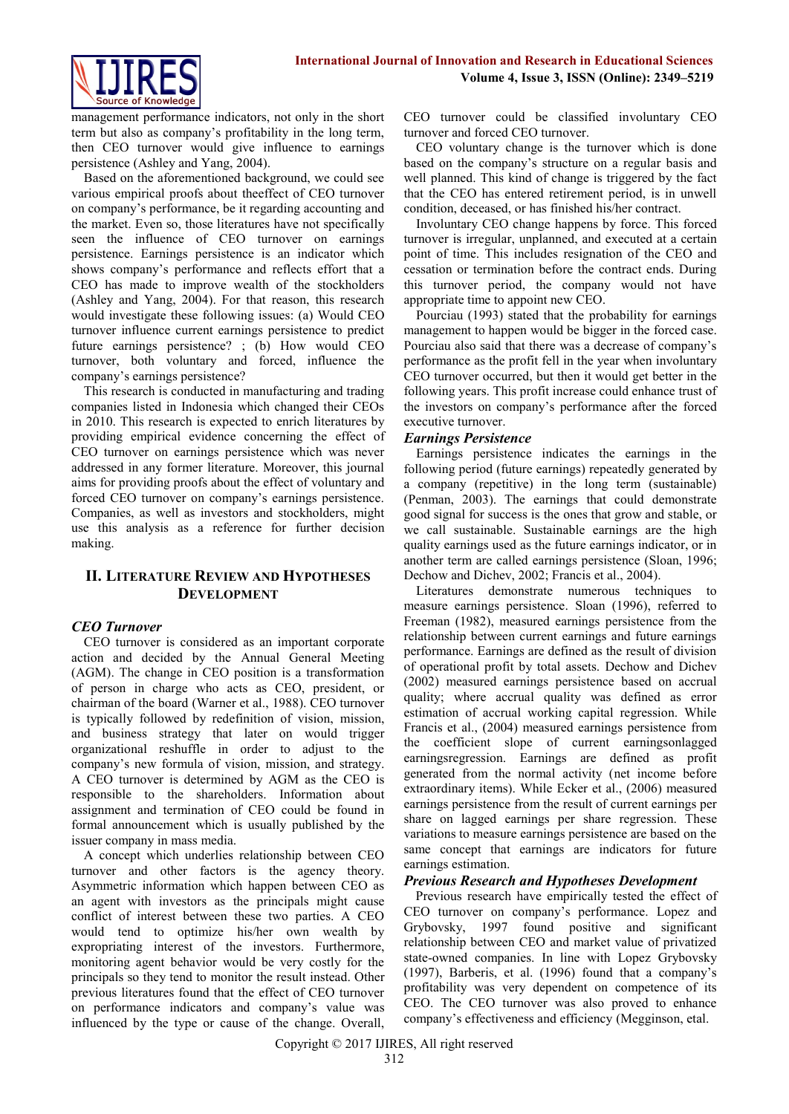

management performance indicators, not only in the short term but also as company's profitability in the long term, then CEO turnover would give influence to earnings persistence (Ashley and Yang, 2004).

Based on the aforementioned background, we could see various empirical proofs about theeffect of CEO turnover on company's performance, be it regarding accounting and the market. Even so, those literatures have not specifically seen the influence of CEO turnover on earnings persistence. Earnings persistence is an indicator which shows company's performance and reflects effort that a CEO has made to improve wealth of the stockholders (Ashley and Yang, 2004). For that reason, this research would investigate these following issues: (a) Would CEO turnover influence current earnings persistence to predict future earnings persistence? ; (b) How would CEO turnover, both voluntary and forced, influence the company's earnings persistence?

This research is conducted in manufacturing and trading companies listed in Indonesia which changed their CEOs in 2010. This research is expected to enrich literatures by providing empirical evidence concerning the effect of CEO turnover on earnings persistence which was never addressed in any former literature. Moreover, this journal aims for providing proofs about the effect of voluntary and forced CEO turnover on company's earnings persistence. Companies, as well as investors and stockholders, might use this analysis as a reference for further decision making.

# **II. LITERATURE REVIEW AND HYPOTHESES DEVELOPMENT**

# *CEO Turnover*

CEO turnover is considered as an important corporate action and decided by the Annual General Meeting (AGM). The change in CEO position is a transformation of person in charge who acts as CEO, president, or chairman of the board (Warner et al., 1988). CEO turnover is typically followed by redefinition of vision, mission, and business strategy that later on would trigger organizational reshuffle in order to adjust to the company's new formula of vision, mission, and strategy. A CEO turnover is determined by AGM as the CEO is responsible to the shareholders. Information about assignment and termination of CEO could be found in formal announcement which is usually published by the issuer company in mass media.

A concept which underlies relationship between CEO turnover and other factors is the agency theory. Asymmetric information which happen between CEO as an agent with investors as the principals might cause conflict of interest between these two parties. A CEO would tend to optimize his/her own wealth by expropriating interest of the investors. Furthermore, monitoring agent behavior would be very costly for the principals so they tend to monitor the result instead. Other previous literatures found that the effect of CEO turnover on performance indicators and company's value was influenced by the type or cause of the change. Overall,

CEO turnover could be classified involuntary CEO turnover and forced CEO turnover.

CEO voluntary change is the turnover which is done based on the company's structure on a regular basis and well planned. This kind of change is triggered by the fact that the CEO has entered retirement period, is in unwell condition, deceased, or has finished his/her contract.

Involuntary CEO change happens by force. This forced turnover is irregular, unplanned, and executed at a certain point of time. This includes resignation of the CEO and cessation or termination before the contract ends. During this turnover period, the company would not have appropriate time to appoint new CEO.

Pourciau (1993) stated that the probability for earnings management to happen would be bigger in the forced case. Pourciau also said that there was a decrease of company's performance as the profit fell in the year when involuntary CEO turnover occurred, but then it would get better in the following years. This profit increase could enhance trust of the investors on company's performance after the forced executive turnover.

# *Earnings Persistence*

Earnings persistence indicates the earnings in the following period (future earnings) repeatedly generated by a company (repetitive) in the long term (sustainable) (Penman, 2003). The earnings that could demonstrate good signal for success is the ones that grow and stable, or we call sustainable. Sustainable earnings are the high quality earnings used as the future earnings indicator, or in another term are called earnings persistence (Sloan, 1996; Dechow and Dichev, 2002; Francis et al., 2004).

Literatures demonstrate numerous techniques to measure earnings persistence. Sloan (1996), referred to Freeman (1982), measured earnings persistence from the relationship between current earnings and future earnings performance. Earnings are defined as the result of division of operational profit by total assets. Dechow and Dichev (2002) measured earnings persistence based on accrual quality; where accrual quality was defined as error estimation of accrual working capital regression. While Francis et al., (2004) measured earnings persistence from the coefficient slope of current earningsonlagged earningsregression. Earnings are defined as profit generated from the normal activity (net income before extraordinary items). While Ecker et al., (2006) measured earnings persistence from the result of current earnings per share on lagged earnings per share regression. These variations to measure earnings persistence are based on the same concept that earnings are indicators for future earnings estimation.

#### *Previous Research and Hypotheses Development*

Previous research have empirically tested the effect of CEO turnover on company's performance. Lopez and Grybovsky, 1997 found positive and significant relationship between CEO and market value of privatized state-owned companies. In line with Lopez Grybovsky (1997), Barberis, et al. (1996) found that a company's profitability was very dependent on competence of its CEO. The CEO turnover was also proved to enhance company's effectiveness and efficiency (Megginson, etal.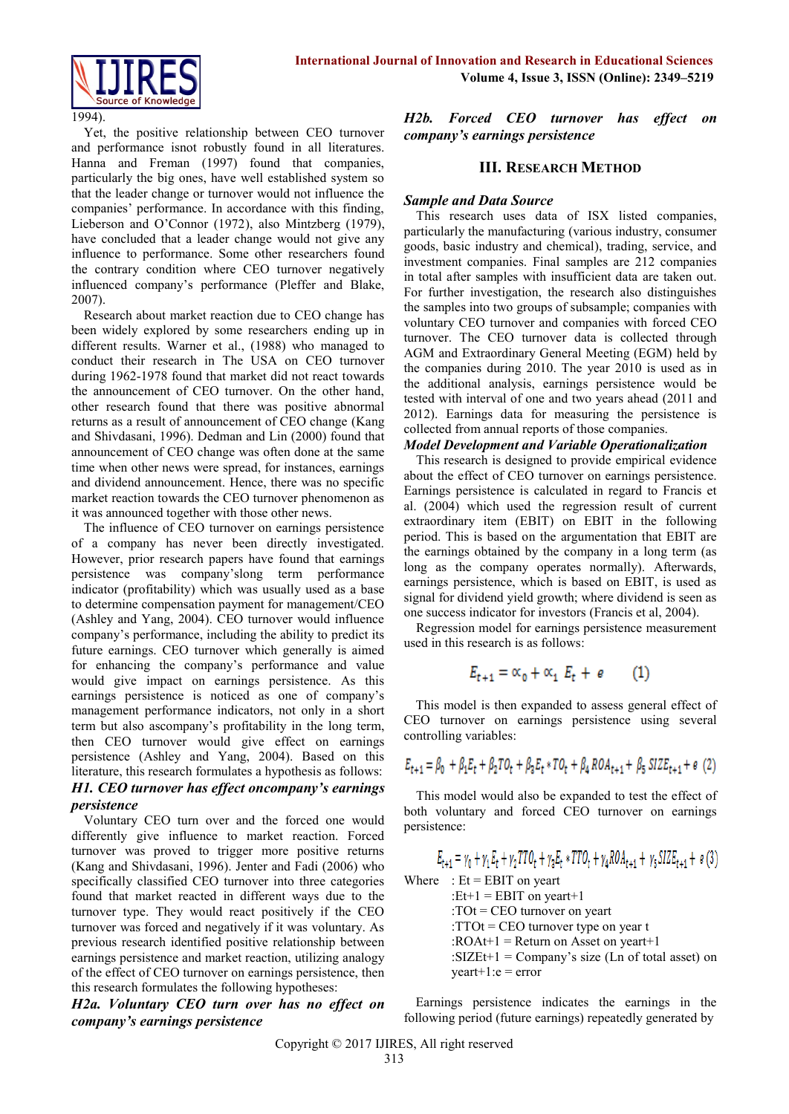



1994).

Yet, the positive relationship between CEO turnover and performance isnot robustly found in all literatures. Hanna and Freman (1997) found that companies, particularly the big ones, have well established system so that the leader change or turnover would not influence the companies' performance. In accordance with this finding, Lieberson and O'Connor (1972), also Mintzberg (1979), have concluded that a leader change would not give any influence to performance. Some other researchers found the contrary condition where CEO turnover negatively influenced company's performance (Pleffer and Blake, 2007).

Research about market reaction due to CEO change has been widely explored by some researchers ending up in different results. Warner et al., (1988) who managed to conduct their research in The USA on CEO turnover during 1962-1978 found that market did not react towards the announcement of CEO turnover. On the other hand, other research found that there was positive abnormal returns as a result of announcement of CEO change (Kang and Shivdasani, 1996). Dedman and Lin (2000) found that announcement of CEO change was often done at the same time when other news were spread, for instances, earnings and dividend announcement. Hence, there was no specific market reaction towards the CEO turnover phenomenon as it was announced together with those other news.

The influence of CEO turnover on earnings persistence of a company has never been directly investigated. However, prior research papers have found that earnings persistence was company'slong term performance indicator (profitability) which was usually used as a base to determine compensation payment for management/CEO (Ashley and Yang, 2004). CEO turnover would influence company's performance, including the ability to predict its future earnings. CEO turnover which generally is aimed for enhancing the company's performance and value would give impact on earnings persistence. As this earnings persistence is noticed as one of company's management performance indicators, not only in a short term but also ascompany's profitability in the long term, then CEO turnover would give effect on earnings persistence (Ashley and Yang, 2004). Based on this literature, this research formulates a hypothesis as follows: *H1. CEO turnover has effect oncompany's earnings persistence* 

Voluntary CEO turn over and the forced one would differently give influence to market reaction. Forced turnover was proved to trigger more positive returns (Kang and Shivdasani, 1996). Jenter and Fadi (2006) who specifically classified CEO turnover into three categories found that market reacted in different ways due to the turnover type. They would react positively if the CEO turnover was forced and negatively if it was voluntary. As previous research identified positive relationship between earnings persistence and market reaction, utilizing analogy of the effect of CEO turnover on earnings persistence, then this research formulates the following hypotheses:

*H2a. Voluntary CEO turn over has no effect on company's earnings persistence*

*H2b. Forced CEO turnover has effect on company's earnings persistence* 

## **III. RESEARCH METHOD**

## *Sample and Data Source*

This research uses data of ISX listed companies, particularly the manufacturing (various industry, consumer goods, basic industry and chemical), trading, service, and investment companies. Final samples are 212 companies in total after samples with insufficient data are taken out. For further investigation, the research also distinguishes the samples into two groups of subsample; companies with voluntary CEO turnover and companies with forced CEO turnover. The CEO turnover data is collected through AGM and Extraordinary General Meeting (EGM) held by the companies during 2010. The year 2010 is used as in the additional analysis, earnings persistence would be tested with interval of one and two years ahead (2011 and 2012). Earnings data for measuring the persistence is collected from annual reports of those companies.

## *Model Development and Variable Operationalization*

This research is designed to provide empirical evidence about the effect of CEO turnover on earnings persistence. Earnings persistence is calculated in regard to Francis et al. (2004) which used the regression result of current extraordinary item (EBIT) on EBIT in the following period. This is based on the argumentation that EBIT are the earnings obtained by the company in a long term (as long as the company operates normally). Afterwards, earnings persistence, which is based on EBIT, is used as signal for dividend yield growth; where dividend is seen as one success indicator for investors (Francis et al, 2004).

Regression model for earnings persistence measurement used in this research is as follows:

$$
E_{t+1} = \alpha_0 + \alpha_1 E_t + e \qquad (1)
$$

This model is then expanded to assess general effect of CEO turnover on earnings persistence using several controlling variables:

$$
E_{t+1} = \beta_0 \ + \beta_1 E_t + \beta_2 T O_t + \beta_3 E_t * T O_t + \beta_4 ROA_{t+1} + \beta_5 SIZE_{t+1} + \epsilon
$$
 (2)

This model would also be expanded to test the effect of both voluntary and forced CEO turnover on earnings persistence:

$$
E_{t+1} = \gamma_0 + \gamma_1 E_t + \gamma_2 T T O_t + \gamma_3 E_t * T T O_t + \gamma_4 R O A_{t+1} + \gamma_5 S I Z E_{t+1} + \epsilon (3)
$$

Where  $\therefore$  Et = EBIT on yeart

: $Et+1 = EBIT$  on yeart+1 :TOt = CEO turnover on yeart : $TTOt = CEO$  turnover type on year t : $ROAt+1 = Return on Asset on year+1$ :SIZEt+1 = Company's size (Ln of total asset) on  $year+1:e = error$ 

Earnings persistence indicates the earnings in the following period (future earnings) repeatedly generated by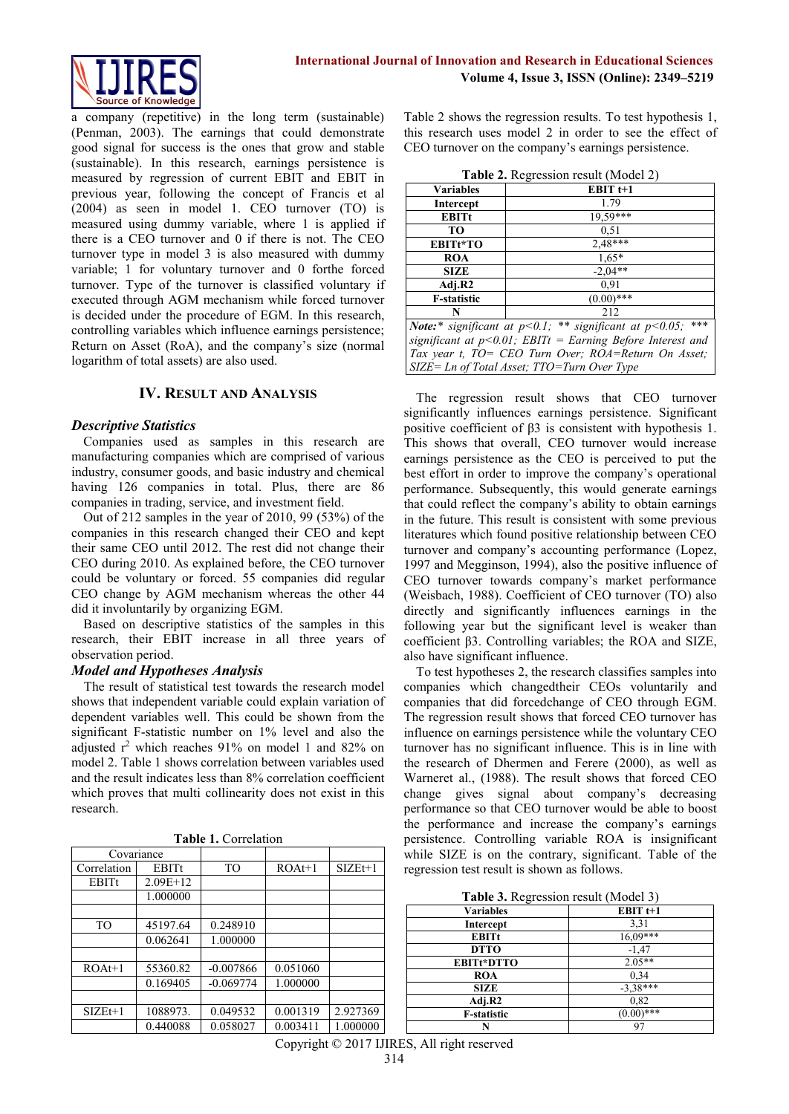

a company (repetitive) in the long term (sustainable) (Penman, 2003). The earnings that could demonstrate good signal for success is the ones that grow and stable (sustainable). In this research, earnings persistence is measured by regression of current EBIT and EBIT in previous year, following the concept of Francis et al (2004) as seen in model 1. CEO turnover (TO) is measured using dummy variable, where 1 is applied if there is a CEO turnover and 0 if there is not. The CEO turnover type in model 3 is also measured with dummy variable; 1 for voluntary turnover and 0 forthe forced turnover. Type of the turnover is classified voluntary if executed through AGM mechanism while forced turnover is decided under the procedure of EGM. In this research, controlling variables which influence earnings persistence; Return on Asset (RoA), and the company's size (normal logarithm of total assets) are also used.

## **IV. RESULT AND ANALYSIS**

#### *Descriptive Statistics*

Companies used as samples in this research are manufacturing companies which are comprised of various industry, consumer goods, and basic industry and chemical having 126 companies in total. Plus, there are 86 companies in trading, service, and investment field.

Out of 212 samples in the year of 2010, 99 (53%) of the companies in this research changed their CEO and kept their same CEO until 2012. The rest did not change their CEO during 2010. As explained before, the CEO turnover could be voluntary or forced. 55 companies did regular CEO change by AGM mechanism whereas the other 44 did it involuntarily by organizing EGM.

Based on descriptive statistics of the samples in this research, their EBIT increase in all three years of observation period.

#### *Model and Hypotheses Analysis*

The result of statistical test towards the research model shows that independent variable could explain variation of dependent variables well. This could be shown from the significant F-statistic number on 1% level and also the adjusted r <sup>2</sup> which reaches 91% on model 1 and 82% on model 2. Table 1 shows correlation between variables used and the result indicates less than 8% correlation coefficient which proves that multi collinearity does not exist in this research.

| Covariance  |              |             |          |           |
|-------------|--------------|-------------|----------|-----------|
| Correlation | <b>EBITt</b> | TO          | $ROAt+1$ | $SIZEt+1$ |
| EBITt       | $2.09E+12$   |             |          |           |
|             | 1.000000     |             |          |           |
|             |              |             |          |           |
| <b>TO</b>   | 45197.64     | 0.248910    |          |           |
|             | 0.062641     | 1.000000    |          |           |
|             |              |             |          |           |
| $ROAt+1$    | 55360.82     | $-0.007866$ | 0.051060 |           |
|             | 0.169405     | $-0.069774$ | 1.000000 |           |
|             |              |             |          |           |
| $SIZEt+1$   | 1088973.     | 0.049532    | 0.001319 | 2.927369  |
|             | 0.440088     | 0.058027    | 0.003411 | 1.000000  |

**Table 1.** Correlation

Table 2 shows the regression results. To test hypothesis 1, this research uses model 2 in order to see the effect of CEO turnover on the company's earnings persistence.

| <b>Variables</b>                                                 | $\frac{1}{2}$<br>EBIT $t+1$ |  |  |  |
|------------------------------------------------------------------|-----------------------------|--|--|--|
|                                                                  |                             |  |  |  |
| Intercept                                                        | 1.79                        |  |  |  |
| <b>EBITt</b>                                                     | 19,59***                    |  |  |  |
| TO                                                               | 0.51                        |  |  |  |
| EBITt*TO                                                         | $2.48***$                   |  |  |  |
| <b>ROA</b>                                                       | $1.65*$                     |  |  |  |
| <b>SIZE</b>                                                      | $-2.04**$                   |  |  |  |
| Adj.R2                                                           | 0.91                        |  |  |  |
| <b>F</b> -statistic                                              | $(0.00)$ ***                |  |  |  |
| N                                                                | 212                         |  |  |  |
| Note:* significant at $p<0.1$ ; ** significant at $p<0.05$ ; *** |                             |  |  |  |
| significant at $p<0.01$ ; EBITt = Earning Before Interest and    |                             |  |  |  |
| Tax year t, TO= CEO Turn Over; ROA=Return On Asset;              |                             |  |  |  |
| $SIZE = Ln$ of Total Asset; TTO=Turn Over Type                   |                             |  |  |  |

The regression result shows that CEO turnover significantly influences earnings persistence. Significant positive coefficient of β3 is consistent with hypothesis 1. This shows that overall, CEO turnover would increase earnings persistence as the CEO is perceived to put the best effort in order to improve the company's operational performance. Subsequently, this would generate earnings that could reflect the company's ability to obtain earnings in the future. This result is consistent with some previous literatures which found positive relationship between CEO turnover and company's accounting performance (Lopez, 1997 and Megginson, 1994), also the positive influence of CEO turnover towards company's market performance (Weisbach, 1988). Coefficient of CEO turnover (TO) also directly and significantly influences earnings in the following year but the significant level is weaker than coefficient β3. Controlling variables; the ROA and SIZE, also have significant influence.

To test hypotheses 2, the research classifies samples into companies which changedtheir CEOs voluntarily and companies that did forcedchange of CEO through EGM. The regression result shows that forced CEO turnover has influence on earnings persistence while the voluntary CEO turnover has no significant influence. This is in line with the research of Dhermen and Ferere (2000), as well as Warneret al., (1988). The result shows that forced CEO change gives signal about company's decreasing performance so that CEO turnover would be able to boost the performance and increase the company's earnings persistence. Controlling variable ROA is insignificant while SIZE is on the contrary, significant. Table of the regression test result is shown as follows.

|  |  | Table 3. Regression result (Model 3) |  |  |  |
|--|--|--------------------------------------|--|--|--|
|--|--|--------------------------------------|--|--|--|

| $\frac{1}{2}$      |              |  |
|--------------------|--------------|--|
| Variables          | EBIT $t+1$   |  |
| Intercept          | 3,31         |  |
| <b>EBITt</b>       | $16,09$ ***  |  |
| <b>DTTO</b>        | $-1,47$      |  |
| <b>EBITt*DTTO</b>  | $2.05**$     |  |
| <b>ROA</b>         | 0,34         |  |
| <b>SIZE</b>        | $-3,38$ ***  |  |
| Adj.R2             | 0,82         |  |
| <b>F-statistic</b> | $(0.00)$ *** |  |
|                    | 97           |  |

Copyright © 2017 IJIRES, All right reserved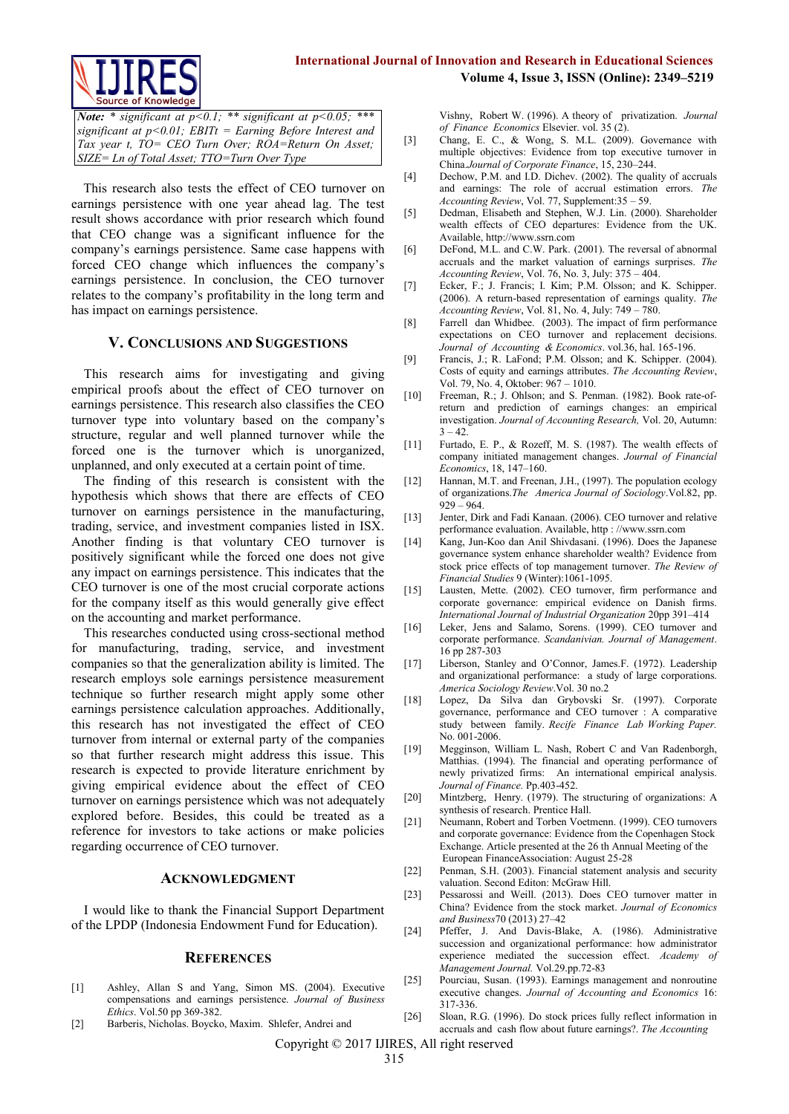

*Note: \* significant at p<0.1; \*\* significant at p<0.05; \*\*\* significant at p<0.01; EBITt = Earning Before Interest and Tax year t, TO= CEO Turn Over; ROA=Return On Asset; SIZE= Ln of Total Asset; TTO=Turn Over Type*

This research also tests the effect of CEO turnover on earnings persistence with one year ahead lag. The test result shows accordance with prior research which found that CEO change was a significant influence for the company's earnings persistence. Same case happens with forced CEO change which influences the company's earnings persistence. In conclusion, the CEO turnover relates to the company's profitability in the long term and has impact on earnings persistence.

#### **V. CONCLUSIONS AND SUGGESTIONS**

This research aims for investigating and giving empirical proofs about the effect of CEO turnover on earnings persistence. This research also classifies the CEO turnover type into voluntary based on the company's structure, regular and well planned turnover while the forced one is the turnover which is unorganized, unplanned, and only executed at a certain point of time.

The finding of this research is consistent with the hypothesis which shows that there are effects of CEO turnover on earnings persistence in the manufacturing, trading, service, and investment companies listed in ISX. Another finding is that voluntary CEO turnover is positively significant while the forced one does not give any impact on earnings persistence. This indicates that the CEO turnover is one of the most crucial corporate actions for the company itself as this would generally give effect on the accounting and market performance.

This researches conducted using cross-sectional method for manufacturing, trading, service, and investment companies so that the generalization ability is limited. The research employs sole earnings persistence measurement technique so further research might apply some other earnings persistence calculation approaches. Additionally, this research has not investigated the effect of CEO turnover from internal or external party of the companies so that further research might address this issue. This research is expected to provide literature enrichment by giving empirical evidence about the effect of CEO turnover on earnings persistence which was not adequately explored before. Besides, this could be treated as a reference for investors to take actions or make policies regarding occurrence of CEO turnover.

#### **ACKNOWLEDGMENT**

I would like to thank the Financial Support Department of the LPDP (Indonesia Endowment Fund for Education).

#### **REFERENCES**

- [1] Ashley, Allan S and Yang, Simon MS. (2004). Executive compensations and earnings persistence. *Journal of Business Ethics*. Vol.50 pp 369-382.
- [2] Barberis, Nicholas. Boycko, Maxim. Shlefer, Andrei and

Vishny, Robert W. (1996). A theory of privatization. *Journal of Finance Economics* Elsevier. vol. 35 (2).

- [3] Chang, E. C., & Wong, S. M.L. (2009). Governance with multiple objectives: Evidence from top executive turnover in China.*Journal of Corporate Finance*, 15, 230–244.
- [4] Dechow, P.M. and I.D. Dichev. (2002). The quality of accruals and earnings: The role of accrual estimation errors. *The Accounting Review*, Vol. 77, Supplement:35 – 59.
- [5] Dedman, Elisabeth and Stephen, W.J. Lin. (2000). Shareholder wealth effects of CEO departures: Evidence from the UK. Available, [http://www.ssrn.com](http://www.ssrn.com/)
- [6] DeFond, M.L. and C.W. Park. (2001). The reversal of abnormal accruals and the market valuation of earnings surprises. *The Accounting Review*, Vol. 76, No. 3, July: 375 – 404.
- [7] Ecker, F.; J. Francis; I. Kim; P.M. Olsson; and K. Schipper. (2006). A return-based representation of earnings quality. *The Accounting Review*, Vol. 81, No. 4, July: 749 – 780.
- [8] Farrell dan Whidbee. (2003). The impact of firm performance expectations on CEO turnover and replacement decisions. *Journal of Accounting & Economics*. vol.36, hal. 165-196.
- [9] Francis, J.; R. LaFond; P.M. Olsson; and K. Schipper. (2004). Costs of equity and earnings attributes. *The Accounting Review*, Vol. 79, No. 4, Oktober: 967 – 1010.
- [10] Freeman, R.; J. Ohlson; and S. Penman. (1982). Book rate-ofreturn and prediction of earnings changes: an empirical investigation. *Journal of Accounting Research,* Vol. 20, Autumn:  $3 - 42$
- [11] Furtado, E. P., & Rozeff, M. S. (1987). The wealth effects of company initiated management changes. *Journal of Financial Economics*, 18, 147–160.
- [12] Hannan, M.T. and Freenan, J.H., (1997). The population ecology of organizations.*The America Journal of Sociology*.Vol.82, pp. 929 – 964.
- [13] Jenter, Dirk and Fadi Kanaan. (2006). CEO turnover and relative performance evaluation. Available, http : //www.ssrn.com
- [14] Kang, Jun-Koo dan Anil Shivdasani. (1996). Does the Japanese governance system enhance shareholder wealth? Evidence from stock price effects of top management turnover. *The Review of Financial Studies* 9 (Winter):1061-1095.
- [15] Lausten, Mette. (2002). CEO turnover, firm performance and corporate governance: empirical evidence on Danish firms. *International Journal of Industrial Organization* 20pp 391–414
- [16] Leker, Jens and Salamo, Sorens. (1999). CEO turnover and corporate performance. *Scandanivian. Journal of Management*. 16 pp 287-303
- [17] Liberson, Stanley and O'Connor, James.F. (1972). Leadership and organizational performance: a study of large corporations. *America Sociology Review*.Vol. 30 no.2
- [18] Lopez, Da Silva dan Grybovski Sr. (1997). Corporate governance, performance and CEO turnover : A comparative study between family. *Recife Finance Lab Working Paper.* No. 001-2006.
- [19] Megginson, William L. Nash, Robert C and Van Radenborgh, Matthias. (1994). The financial and operating performance of newly privatized firms: An international empirical analysis. *Journal of Finance.* Pp.403-452.
- [20] Mintzberg, Henry. (1979). The structuring of organizations: A synthesis of research. Prentice Hall.
- [21] Neumann, Robert and Torben Voetmenn. (1999). CEO turnovers and corporate governance: Evidence from the Copenhagen Stock Exchange. Article presented at the 26 th Annual Meeting of the European FinanceAssociation: August 25-28
- [22] Penman, S.H. (2003). Financial statement analysis and security valuation. Second Editon: McGraw Hill.
- [23] Pessarossi and Weill. (2013). Does CEO turnover matter in China? Evidence from the stock market. *Journal of Economics and Business*70 (2013) 27–42
- [24] Pfeffer, J. And Davis-Blake, A. (1986). Administrative succession and organizational performance: how administrator experience mediated the succession effect. *Academy of Management Journal.* Vol.29.pp.72-83
- [25] Pourciau, Susan. (1993). Earnings management and nonroutine executive changes. *Journal of Accounting and Economics* 16: 317-336.
- [26] Sloan, R.G. (1996). Do stock prices fully reflect information in accruals and cash flow about future earnings?. *The Accounting*

Copyright © 2017 IJIRES, All right reserved